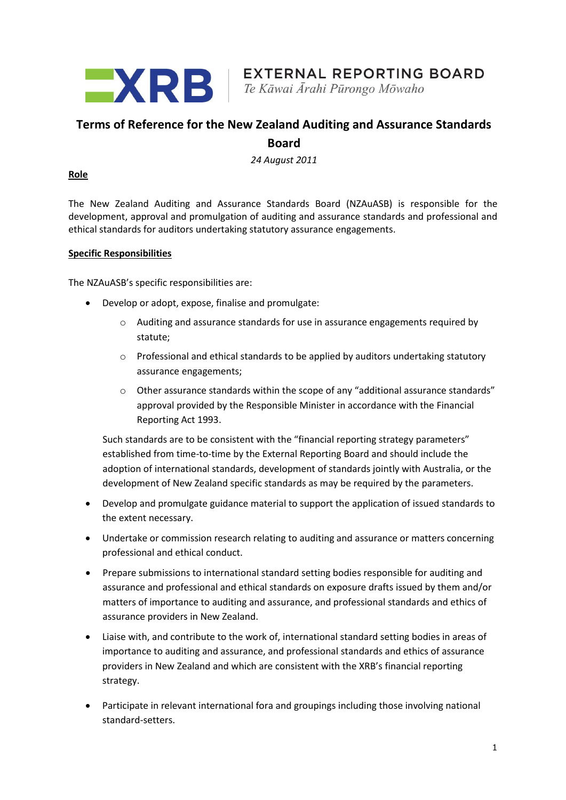

# **Terms of Reference for the New Zealand Auditing and Assurance Standards Board**

*24 August 2011*

#### **Role**

The New Zealand Auditing and Assurance Standards Board (NZAuASB) is responsible for the development, approval and promulgation of auditing and assurance standards and professional and ethical standards for auditors undertaking statutory assurance engagements.

#### **Specific Responsibilities**

The NZAuASB's specific responsibilities are:

- Develop or adopt, expose, finalise and promulgate:
	- $\circ$  Auditing and assurance standards for use in assurance engagements required by statute;
	- o Professional and ethical standards to be applied by auditors undertaking statutory assurance engagements;
	- $\circ$  Other assurance standards within the scope of any "additional assurance standards" approval provided by the Responsible Minister in accordance with the Financial Reporting Act 1993.

Such standards are to be consistent with the "financial reporting strategy parameters" established from time-to-time by the External Reporting Board and should include the adoption of international standards, development of standards jointly with Australia, or the development of New Zealand specific standards as may be required by the parameters.

- Develop and promulgate guidance material to support the application of issued standards to the extent necessary.
- Undertake or commission research relating to auditing and assurance or matters concerning professional and ethical conduct.
- Prepare submissions to international standard setting bodies responsible for auditing and assurance and professional and ethical standards on exposure drafts issued by them and/or matters of importance to auditing and assurance, and professional standards and ethics of assurance providers in New Zealand.
- Liaise with, and contribute to the work of, international standard setting bodies in areas of importance to auditing and assurance, and professional standards and ethics of assurance providers in New Zealand and which are consistent with the XRB's financial reporting strategy.
- Participate in relevant international fora and groupings including those involving national standard-setters.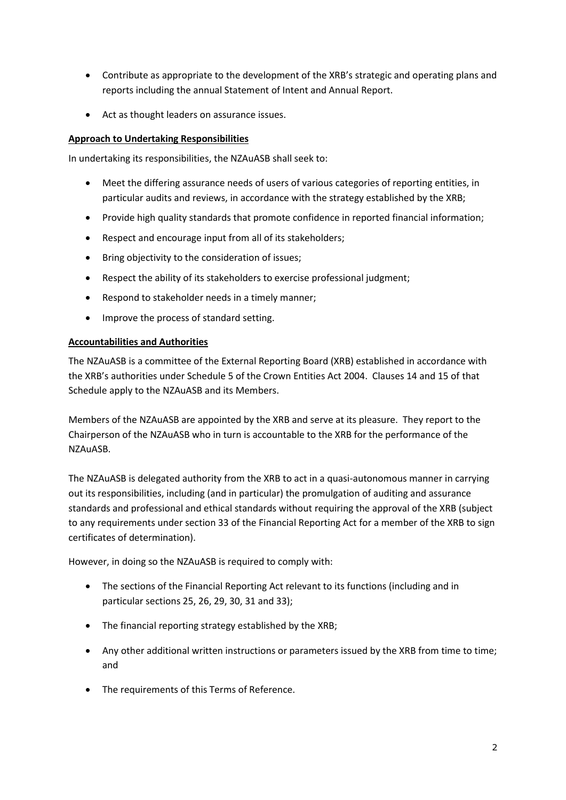- Contribute as appropriate to the development of the XRB's strategic and operating plans and reports including the annual Statement of Intent and Annual Report.
- Act as thought leaders on assurance issues.

### **Approach to Undertaking Responsibilities**

In undertaking its responsibilities, the NZAuASB shall seek to:

- Meet the differing assurance needs of users of various categories of reporting entities, in particular audits and reviews, in accordance with the strategy established by the XRB;
- Provide high quality standards that promote confidence in reported financial information;
- Respect and encourage input from all of its stakeholders;
- Bring objectivity to the consideration of issues;
- Respect the ability of its stakeholders to exercise professional judgment;
- Respond to stakeholder needs in a timely manner;
- Improve the process of standard setting.

### **Accountabilities and Authorities**

The NZAuASB is a committee of the External Reporting Board (XRB) established in accordance with the XRB's authorities under Schedule 5 of the Crown Entities Act 2004. Clauses 14 and 15 of that Schedule apply to the NZAuASB and its Members.

Members of the NZAuASB are appointed by the XRB and serve at its pleasure. They report to the Chairperson of the NZAuASB who in turn is accountable to the XRB for the performance of the NZAuASB.

The NZAuASB is delegated authority from the XRB to act in a quasi-autonomous manner in carrying out its responsibilities, including (and in particular) the promulgation of auditing and assurance standards and professional and ethical standards without requiring the approval of the XRB (subject to any requirements under section 33 of the Financial Reporting Act for a member of the XRB to sign certificates of determination).

However, in doing so the NZAuASB is required to comply with:

- The sections of the Financial Reporting Act relevant to its functions (including and in particular sections 25, 26, 29, 30, 31 and 33);
- The financial reporting strategy established by the XRB;
- Any other additional written instructions or parameters issued by the XRB from time to time; and
- The requirements of this Terms of Reference.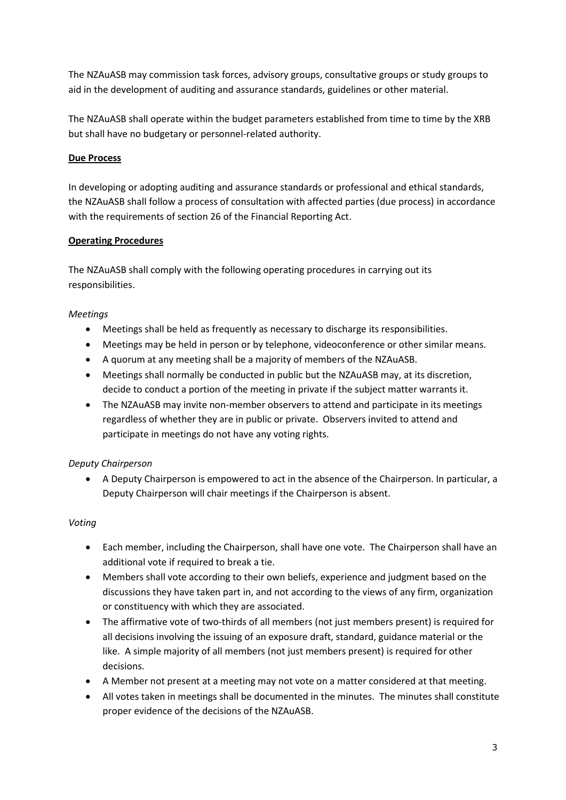The NZAuASB may commission task forces, advisory groups, consultative groups or study groups to aid in the development of auditing and assurance standards, guidelines or other material.

The NZAuASB shall operate within the budget parameters established from time to time by the XRB but shall have no budgetary or personnel-related authority.

### **Due Process**

In developing or adopting auditing and assurance standards or professional and ethical standards, the NZAuASB shall follow a process of consultation with affected parties (due process) in accordance with the requirements of section 26 of the Financial Reporting Act.

### **Operating Procedures**

The NZAuASB shall comply with the following operating procedures in carrying out its responsibilities.

### *Meetings*

- Meetings shall be held as frequently as necessary to discharge its responsibilities.
- Meetings may be held in person or by telephone, videoconference or other similar means.
- A quorum at any meeting shall be a majority of members of the NZAuASB.
- Meetings shall normally be conducted in public but the NZAuASB may, at its discretion, decide to conduct a portion of the meeting in private if the subject matter warrants it.
- The NZAuASB may invite non-member observers to attend and participate in its meetings regardless of whether they are in public or private. Observers invited to attend and participate in meetings do not have any voting rights.

# *Deputy Chairperson*

 A Deputy Chairperson is empowered to act in the absence of the Chairperson. In particular, a Deputy Chairperson will chair meetings if the Chairperson is absent.

### *Voting*

- Each member, including the Chairperson, shall have one vote. The Chairperson shall have an additional vote if required to break a tie.
- Members shall vote according to their own beliefs, experience and judgment based on the discussions they have taken part in, and not according to the views of any firm, organization or constituency with which they are associated.
- The affirmative vote of two-thirds of all members (not just members present) is required for all decisions involving the issuing of an exposure draft, standard, guidance material or the like. A simple majority of all members (not just members present) is required for other decisions.
- A Member not present at a meeting may not vote on a matter considered at that meeting.
- All votes taken in meetings shall be documented in the minutes. The minutes shall constitute proper evidence of the decisions of the NZAuASB.